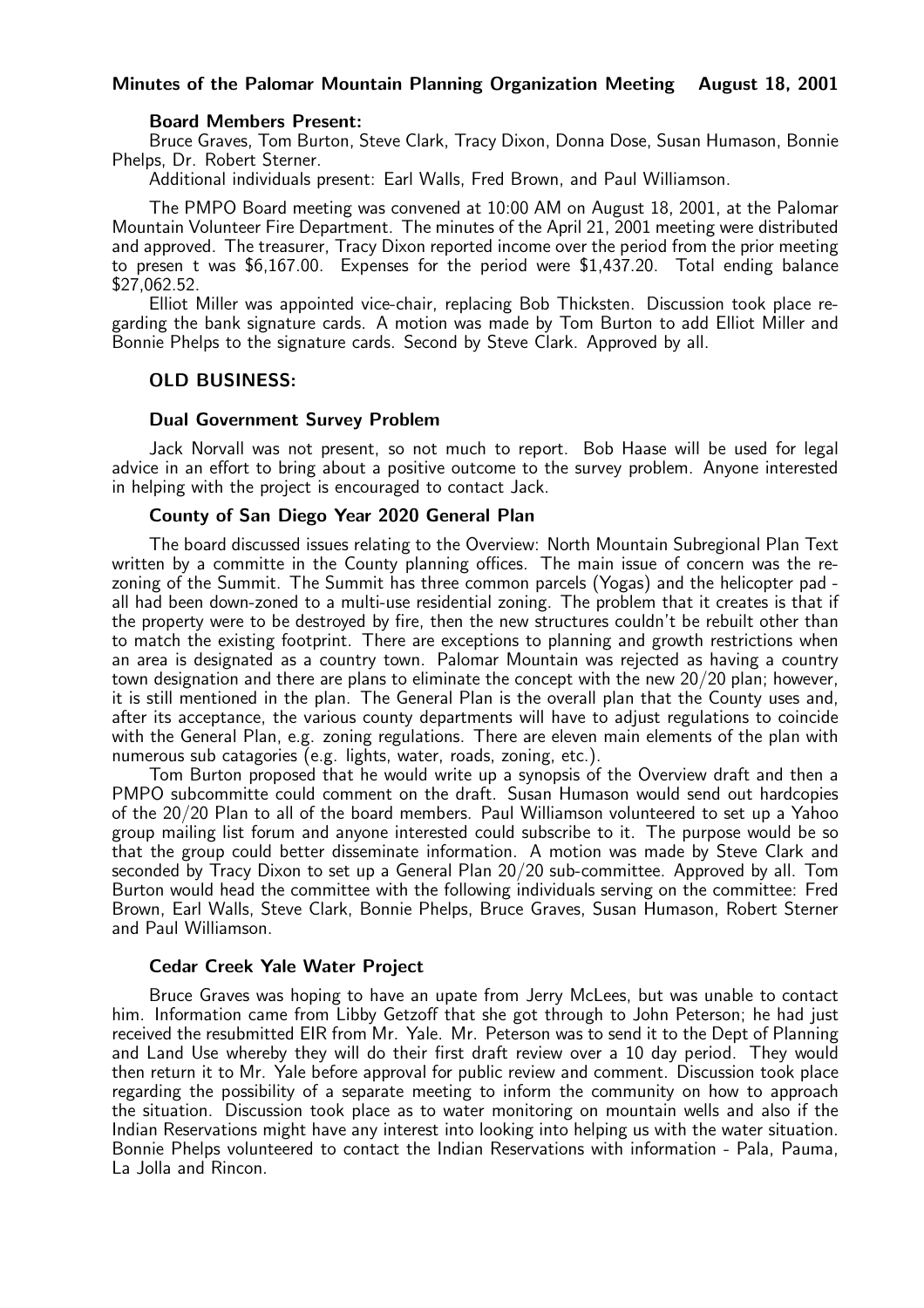### Minutes of the Palomar Mountain Planning Organization Meeting August 18, 2001

### Board Members Present:

Bruce Graves, Tom Burton, Steve Clark, Tracy Dixon, Donna Dose, Susan Humason, Bonnie Phelps, Dr. Robert Sterner.

Additional individuals present: Earl Walls, Fred Brown, and Paul Williamson.

The PMPO Board meeting was convened at 10:00 AM on August 18, 2001, at the Palomar Mountain Volunteer Fire Department. The minutes of the April 21, 2001 meeting were distributed and approved. The treasurer, Tracy Dixon reported income over the period from the prior meeting to presen t was \$6,167.00. Expenses for the period were \$1,437.20. Total ending balance \$27,062.52.

Elliot Miller was appointed vice-chair, replacing Bob Thicksten. Discussion took place regarding the bank signature cards. A motion was made by Tom Burton to add Elliot Miller and Bonnie Phelps to the signature cards. Second by Steve Clark. Approved by all.

### OLD BUSINESS:

### Dual Government Survey Problem

Jack Norvall was not present, so not much to report. Bob Haase will be used for legal advice in an effort to bring about a positive outcome to the survey problem. Anyone interested in helping with the project is encouraged to contact Jack.

### County of San Diego Year 2020 General Plan

The board discussed issues relating to the Overview: North Mountain Subregional Plan Text written by a committe in the County planning offices. The main issue of concern was the rezoning of the Summit. The Summit has three common parcels (Yogas) and the helicopter pad all had been down-zoned to a multi-use residential zoning. The problem that it creates is that if the property were to be destroyed by fire, then the new structures couldn't be rebuilt other than to match the existing footprint. There are exceptions to planning and growth restrictions when an area is designated as a country town. Palomar Mountain was rejected as having a country town designation and there are plans to eliminate the concept with the new 20/20 plan; however, it is still mentioned in the plan. The General Plan is the overall plan that the County uses and, after its acceptance, the various county departments will have to adjust regulations to coincide with the General Plan, e.g. zoning regulations. There are eleven main elements of the plan with numerous sub catagories (e.g. lights, water, roads, zoning, etc.).

Tom Burton proposed that he would write up a synopsis of the Overview draft and then a PMPO subcommitte could comment on the draft. Susan Humason would send out hardcopies of the 20/20 Plan to all of the board members. Paul Williamson volunteered to set up a Yahoo group mailing list forum and anyone interested could subscribe to it. The purpose would be so that the group could better disseminate information. A motion was made by Steve Clark and seconded by Tracy Dixon to set up a General Plan 20/20 sub-committee. Approved by all. Tom Burton would head the committee with the following individuals serving on the committee: Fred Brown, Earl Walls, Steve Clark, Bonnie Phelps, Bruce Graves, Susan Humason, Robert Sterner and Paul Williamson.

### Cedar Creek Yale Water Project

Bruce Graves was hoping to have an upate from Jerry McLees, but was unable to contact him. Information came from Libby Getzoff that she got through to John Peterson; he had just received the resubmitted EIR from Mr. Yale. Mr. Peterson was to send it to the Dept of Planning and Land Use whereby they will do their first draft review over a 10 day period. They would then return it to Mr. Yale before approval for public review and comment. Discussion took place regarding the possibility of a separate meeting to inform the community on how to approach the situation. Discussion took place as to water monitoring on mountain wells and also if the Indian Reservations might have any interest into looking into helping us with the water situation. Bonnie Phelps volunteered to contact the Indian Reservations with information - Pala, Pauma, La Jolla and Rincon.